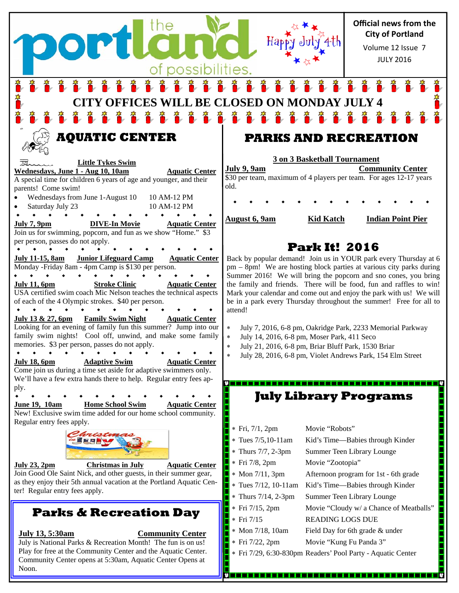